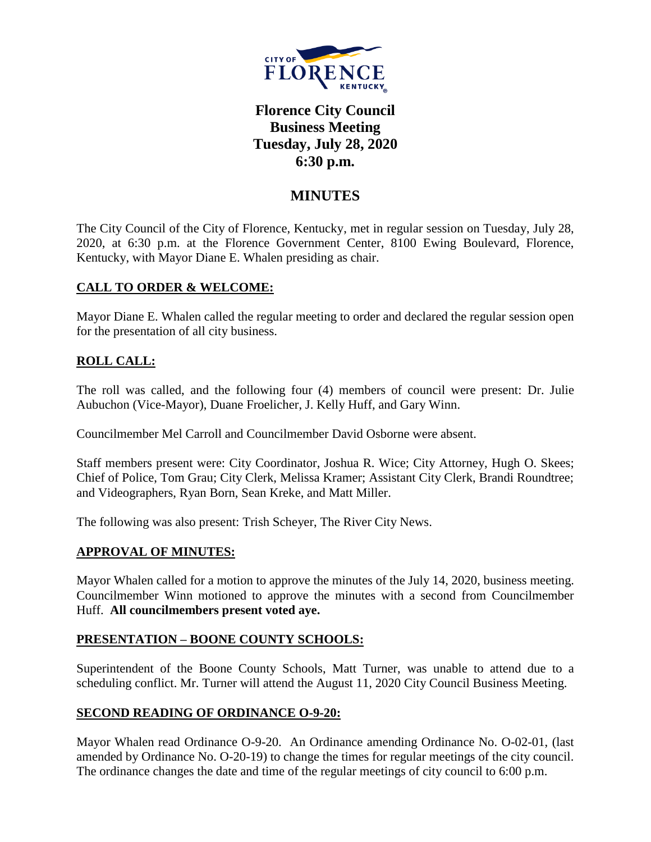

# **Florence City Council Business Meeting Tuesday, July 28, 2020 6:30 p.m.**

## **MINUTES**

The City Council of the City of Florence, Kentucky, met in regular session on Tuesday, July 28, 2020, at 6:30 p.m. at the Florence Government Center, 8100 Ewing Boulevard, Florence, Kentucky, with Mayor Diane E. Whalen presiding as chair.

## **CALL TO ORDER & WELCOME:**

Mayor Diane E. Whalen called the regular meeting to order and declared the regular session open for the presentation of all city business.

## **ROLL CALL:**

The roll was called, and the following four (4) members of council were present: Dr. Julie Aubuchon (Vice-Mayor), Duane Froelicher, J. Kelly Huff, and Gary Winn.

Councilmember Mel Carroll and Councilmember David Osborne were absent.

Staff members present were: City Coordinator, Joshua R. Wice; City Attorney, Hugh O. Skees; Chief of Police, Tom Grau; City Clerk, Melissa Kramer; Assistant City Clerk, Brandi Roundtree; and Videographers, Ryan Born, Sean Kreke, and Matt Miller.

The following was also present: Trish Scheyer, The River City News.

## **APPROVAL OF MINUTES:**

Mayor Whalen called for a motion to approve the minutes of the July 14, 2020, business meeting. Councilmember Winn motioned to approve the minutes with a second from Councilmember Huff. **All councilmembers present voted aye.** 

## **PRESENTATION – BOONE COUNTY SCHOOLS:**

Superintendent of the Boone County Schools, Matt Turner, was unable to attend due to a scheduling conflict. Mr. Turner will attend the August 11, 2020 City Council Business Meeting.

## **SECOND READING OF ORDINANCE O-9-20:**

Mayor Whalen read Ordinance O-9-20. An Ordinance amending Ordinance No. O-02-01, (last amended by Ordinance No. O-20-19) to change the times for regular meetings of the city council. The ordinance changes the date and time of the regular meetings of city council to 6:00 p.m.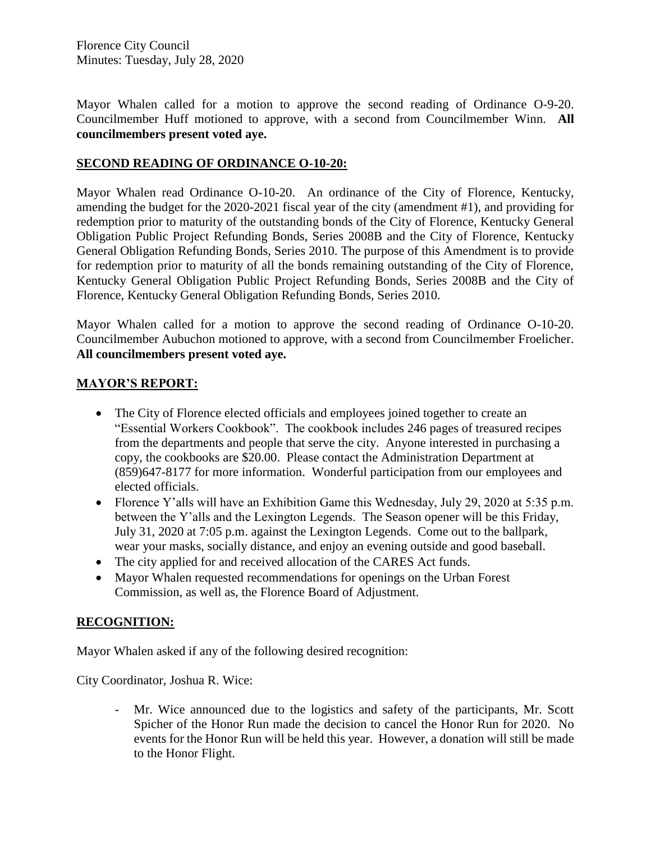Florence City Council Minutes: Tuesday, July 28, 2020

Mayor Whalen called for a motion to approve the second reading of Ordinance O-9-20. Councilmember Huff motioned to approve, with a second from Councilmember Winn. **All councilmembers present voted aye.** 

#### **SECOND READING OF ORDINANCE O-10-20:**

Mayor Whalen read Ordinance O-10-20. An ordinance of the City of Florence, Kentucky, amending the budget for the 2020-2021 fiscal year of the city (amendment #1), and providing for redemption prior to maturity of the outstanding bonds of the City of Florence, Kentucky General Obligation Public Project Refunding Bonds, Series 2008B and the City of Florence, Kentucky General Obligation Refunding Bonds, Series 2010. The purpose of this Amendment is to provide for redemption prior to maturity of all the bonds remaining outstanding of the City of Florence, Kentucky General Obligation Public Project Refunding Bonds, Series 2008B and the City of Florence, Kentucky General Obligation Refunding Bonds, Series 2010.

Mayor Whalen called for a motion to approve the second reading of Ordinance O-10-20. Councilmember Aubuchon motioned to approve, with a second from Councilmember Froelicher. **All councilmembers present voted aye.** 

#### **MAYOR'S REPORT:**

- The City of Florence elected officials and employees joined together to create an "Essential Workers Cookbook". The cookbook includes 246 pages of treasured recipes from the departments and people that serve the city. Anyone interested in purchasing a copy, the cookbooks are \$20.00. Please contact the Administration Department at (859)647-8177 for more information. Wonderful participation from our employees and elected officials.
- Florence Y'alls will have an Exhibition Game this Wednesday, July 29, 2020 at 5:35 p.m. between the Y'alls and the Lexington Legends. The Season opener will be this Friday, July 31, 2020 at 7:05 p.m. against the Lexington Legends. Come out to the ballpark, wear your masks, socially distance, and enjoy an evening outside and good baseball.
- The city applied for and received allocation of the CARES Act funds.
- Mayor Whalen requested recommendations for openings on the Urban Forest Commission, as well as, the Florence Board of Adjustment.

## **RECOGNITION:**

Mayor Whalen asked if any of the following desired recognition:

City Coordinator, Joshua R. Wice:

- Mr. Wice announced due to the logistics and safety of the participants, Mr. Scott Spicher of the Honor Run made the decision to cancel the Honor Run for 2020. No events for the Honor Run will be held this year. However, a donation will still be made to the Honor Flight.